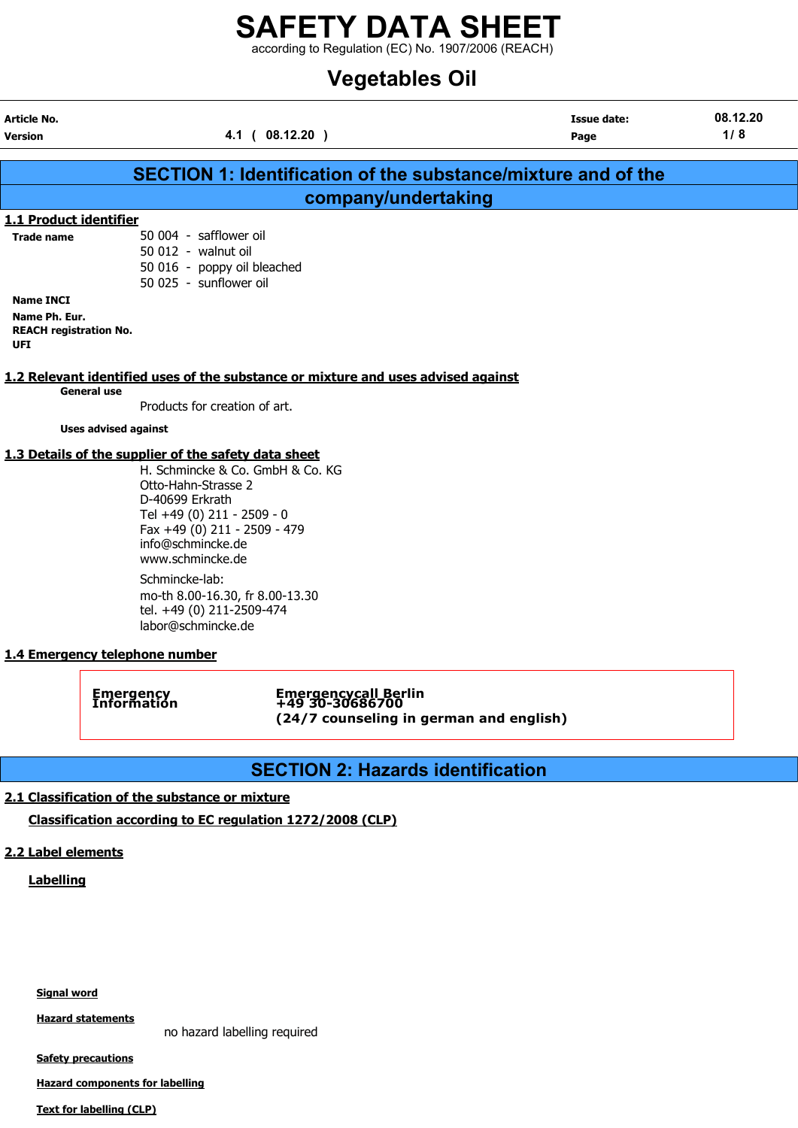## SAFETY DATA SHEET  $\frac{2}{1}$  according to Regulation (EC) No. 1907/2006 (REACH)

## Vegetables Oil

| <b>Article No.</b>             |                                                                                                                                                                                                                                                                                                               |                                         |                                                                      | <b>Issue date:</b> | 08.12.20 |
|--------------------------------|---------------------------------------------------------------------------------------------------------------------------------------------------------------------------------------------------------------------------------------------------------------------------------------------------------------|-----------------------------------------|----------------------------------------------------------------------|--------------------|----------|
| <b>Version</b>                 |                                                                                                                                                                                                                                                                                                               | 4.1 ( 08.12.20 )                        |                                                                      | Page               | 1/8      |
|                                |                                                                                                                                                                                                                                                                                                               |                                         |                                                                      |                    |          |
|                                |                                                                                                                                                                                                                                                                                                               |                                         | <b>SECTION 1: Identification of the substance/mixture and of the</b> |                    |          |
|                                |                                                                                                                                                                                                                                                                                                               |                                         | company/undertaking                                                  |                    |          |
| 1.1 Product identifier         |                                                                                                                                                                                                                                                                                                               |                                         |                                                                      |                    |          |
| <b>Trade name</b>              | 50 004 - safflower oil                                                                                                                                                                                                                                                                                        |                                         |                                                                      |                    |          |
|                                | 50 012 - walnut oil                                                                                                                                                                                                                                                                                           |                                         |                                                                      |                    |          |
|                                | 50 016 - poppy oil bleached                                                                                                                                                                                                                                                                                   |                                         |                                                                      |                    |          |
|                                | 50 025 - sunflower oil                                                                                                                                                                                                                                                                                        |                                         |                                                                      |                    |          |
| <b>Name INCI</b>               |                                                                                                                                                                                                                                                                                                               |                                         |                                                                      |                    |          |
| Name Ph. Eur.                  |                                                                                                                                                                                                                                                                                                               |                                         |                                                                      |                    |          |
| <b>REACH registration No.</b>  |                                                                                                                                                                                                                                                                                                               |                                         |                                                                      |                    |          |
| UFI                            |                                                                                                                                                                                                                                                                                                               |                                         |                                                                      |                    |          |
|                                | 1.2 Relevant identified uses of the substance or mixture and uses advised against                                                                                                                                                                                                                             |                                         |                                                                      |                    |          |
|                                | <b>General use</b>                                                                                                                                                                                                                                                                                            |                                         |                                                                      |                    |          |
|                                | Products for creation of art.                                                                                                                                                                                                                                                                                 |                                         |                                                                      |                    |          |
|                                | <b>Uses advised against</b>                                                                                                                                                                                                                                                                                   |                                         |                                                                      |                    |          |
|                                |                                                                                                                                                                                                                                                                                                               |                                         |                                                                      |                    |          |
|                                | 1.3 Details of the supplier of the safety data sheet<br>Otto-Hahn-Strasse 2<br>D-40699 Erkrath<br>Tel +49 (0) 211 - 2509 - 0<br>Fax +49 (0) 211 - 2509 - 479<br>info@schmincke.de<br>www.schmincke.de<br>Schmincke-lab:<br>mo-th 8.00-16.30, fr 8.00-13.30<br>tel. +49 (0) 211-2509-474<br>labor@schmincke.de | H. Schmincke & Co. GmbH & Co. KG        |                                                                      |                    |          |
| 1.4 Emergency telephone number |                                                                                                                                                                                                                                                                                                               |                                         |                                                                      |                    |          |
|                                | <b>Emergency</b><br>Information                                                                                                                                                                                                                                                                               | Emergencycall Berlin<br>+49 30-30686700 | (24/7 counseling in german and english)                              |                    |          |
|                                |                                                                                                                                                                                                                                                                                                               |                                         |                                                                      |                    |          |

## SECTION 2: Hazards identification

## 2.1 Classification of the substance or mixture

Classification according to EC regulation 1272/2008 (CLP)

## 2.2 Label elements

**Labelling** 

Signal word

**Hazard statements** 

no hazard labelling required

**Safety precautions** 

Hazard components for labelling

Text for labelling (CLP)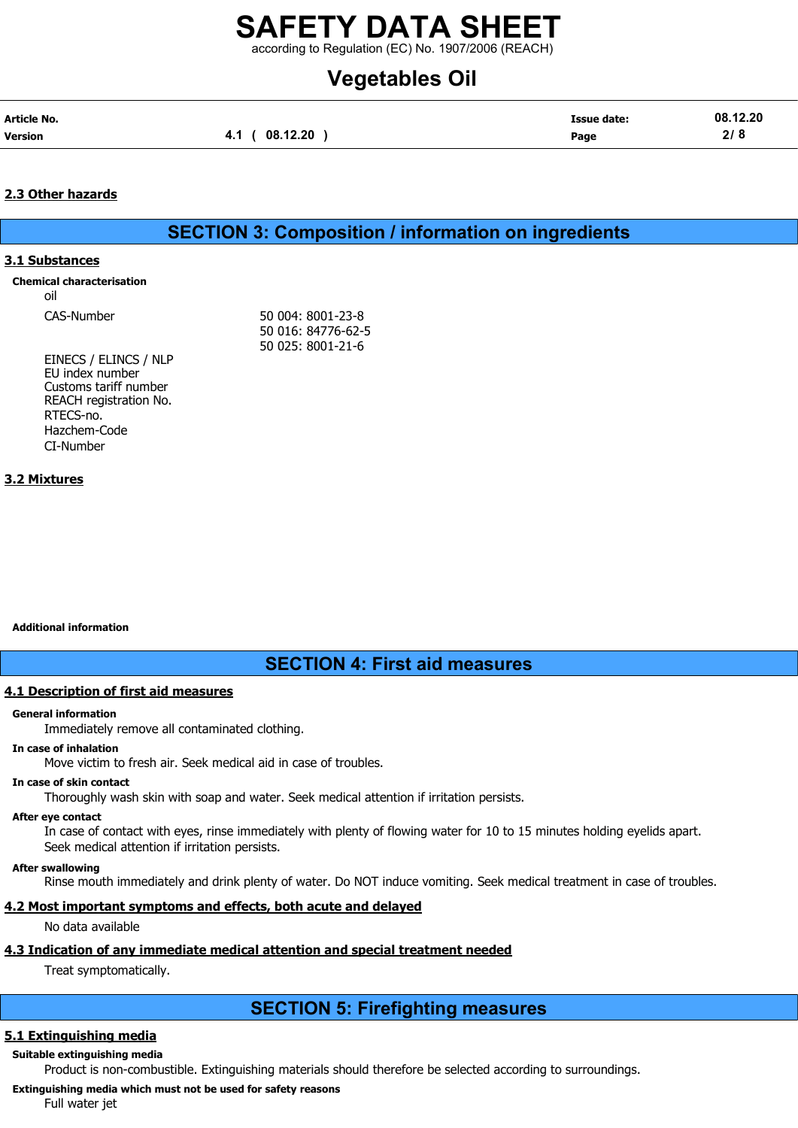according to Regulation (EC) No. 1907/2006 (REACH)

## Vegetables Oil

| Article No.    |                | <b>Issue date:</b> | 08.12.20 |
|----------------|----------------|--------------------|----------|
| <b>Version</b> | 4.1 ( 08.12.20 | Page               | 2/8      |

## 2.3 Other hazards

## SECTION 3: Composition / information on ingredients

## 3.1 Substances

oil

CAS-Number 50 004: 8001-23-8 50 016: 84776-62-5 50 025: 8001-21-6

EINECS / ELINCS / NLP EU index number Customs tariff number REACH registration No. RTECS-no. Hazchem-Code CI-Number

## 3.2 Mixtures

Additional information

## SECTION 4: First aid measures

## 4.1 Description of first aid measures

## General information

Immediately remove all contaminated clothing.

## In case of inhalation

Move victim to fresh air. Seek medical aid in case of troubles.

## In case of skin contact

Thoroughly wash skin with soap and water. Seek medical attention if irritation persists.

## After eye contact

In case of contact with eyes, rinse immediately with plenty of flowing water for 10 to 15 minutes holding eyelids apart. Seek medical attention if irritation persists.

## After swallowing

Rinse mouth immediately and drink plenty of water. Do NOT induce vomiting. Seek medical treatment in case of troubles.

## 4.2 Most important symptoms and effects, both acute and delayed

No data available

## 4.3 Indication of any immediate medical attention and special treatment needed

Treat symptomatically.

## SECTION 5: Firefighting measures

## 5.1 Extinguishing media

Suitable extinguishing media

Product is non-combustible. Extinguishing materials should therefore be selected according to surroundings.

Extinguishing media which must not be used for safety reasons

Full water jet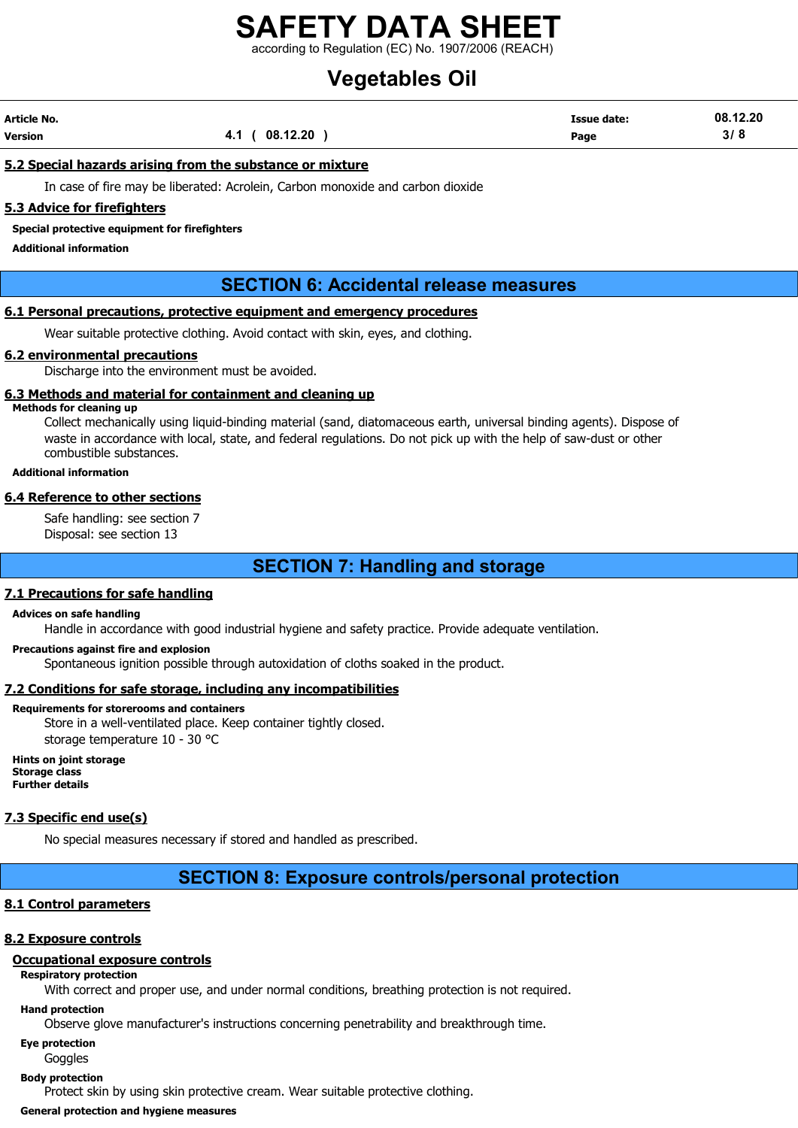according to Regulation (EC) No. 1907/2006 (REACH)

# Vegetables Oil

| Article No. |                   | <b>Issue date:</b> | 08.12.20 |
|-------------|-------------------|--------------------|----------|
| Version     | (08.12.20)<br>4.1 | Page               | 3/8      |

## 5.2 Special hazards arising from the substance or mixture

In case of fire may be liberated: Acrolein, Carbon monoxide and carbon dioxide

## 5.3 Advice for firefighters

Special protective equipment for firefighters

Additional information

## SECTION 6: Accidental release measures

## 6.1 Personal precautions, protective equipment and emergency procedures

Wear suitable protective clothing. Avoid contact with skin, eyes, and clothing.

### 6.2 environmental precautions

Discharge into the environment must be avoided.

### 6.3 Methods and material for containment and cleaning up

Methods for cleaning up

Collect mechanically using liquid-binding material (sand, diatomaceous earth, universal binding agents). Dispose of waste in accordance with local, state, and federal regulations. Do not pick up with the help of saw-dust or other combustible substances.

#### Additional information

#### 6.4 Reference to other sections

Safe handling: see section 7 Disposal: see section 13

## SECTION 7: Handling and storage

## 7.1 Precautions for safe handling

#### Advices on safe handling

Handle in accordance with good industrial hygiene and safety practice. Provide adequate ventilation.

#### Precautions against fire and explosion

Spontaneous ignition possible through autoxidation of cloths soaked in the product.

## 7.2 Conditions for safe storage, including any incompatibilities

#### Requirements for storerooms and containers

Store in a well-ventilated place. Keep container tightly closed. storage temperature 10 - 30 °C

Hints on joint storage Storage class Further details

#### 7.3 Specific end use(s)

No special measures necessary if stored and handled as prescribed.

## SECTION 8: Exposure controls/personal protection

#### 8.1 Control parameters

## 8.2 Exposure controls

## Occupational exposure controls

Respiratory protection

With correct and proper use, and under normal conditions, breathing protection is not required.

## Hand protection

Observe glove manufacturer's instructions concerning penetrability and breakthrough time.

## Eye protection

Goggles

## Body protection

Protect skin by using skin protective cream. Wear suitable protective clothing.

General protection and hygiene measures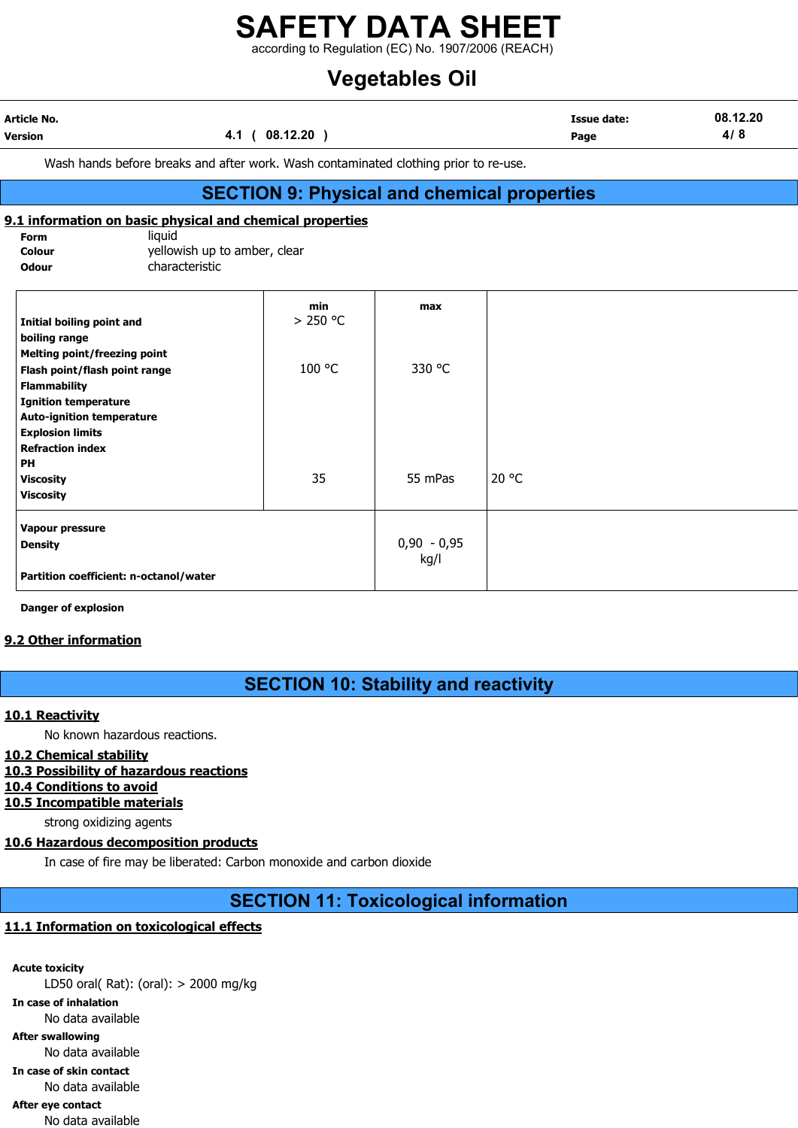according to Regulation (EC) No. 1907/2006 (REACH)

## Vegetables Oil

| Article No.    |                  | Issue date: | 08.12.20 |
|----------------|------------------|-------------|----------|
| <b>Version</b> | 08.12.20<br>−. . | Page        | 4/8      |
|                |                  |             |          |

Wash hands before breaks and after work. Wash contaminated clothing prior to re-use.

## SECTION 9: Physical and chemical properties

## 9.1 information on basic physical and chemical properties

Form liquid **Colour** yellowish up to amber, clear Odour characteristic

| Initial boiling point and              | min<br>> 250 °C | max           |       |
|----------------------------------------|-----------------|---------------|-------|
| boiling range                          |                 |               |       |
| <b>Melting point/freezing point</b>    |                 |               |       |
| Flash point/flash point range          | 100 °C          | 330 °C        |       |
| <b>Flammability</b>                    |                 |               |       |
| <b>Ignition temperature</b>            |                 |               |       |
| <b>Auto-ignition temperature</b>       |                 |               |       |
| <b>Explosion limits</b>                |                 |               |       |
| <b>Refraction index</b>                |                 |               |       |
| PH                                     |                 |               |       |
| <b>Viscosity</b>                       | 35              | 55 mPas       | 20 °C |
| <b>Viscosity</b>                       |                 |               |       |
| Vapour pressure                        |                 |               |       |
| <b>Density</b>                         |                 | $0,90 - 0,95$ |       |
| Partition coefficient: n-octanol/water |                 | kg/l          |       |

Danger of explosion

## 9.2 Other information

## SECTION 10: Stability and reactivity

## 10.1 Reactivity

No known hazardous reactions.

- 10.2 Chemical stability
- 10.3 Possibility of hazardous reactions
- 10.4 Conditions to avoid
- 10.5 Incompatible materials

strong oxidizing agents

## 10.6 Hazardous decomposition products

In case of fire may be liberated: Carbon monoxide and carbon dioxide

## SECTION 11: Toxicological information

## 11.1 Information on toxicological effects

Acute toxicity LD50 oral( Rat): (oral): > 2000 mg/kg In case of inhalation No data available After swallowing No data available In case of skin contact No data available After eye contact

No data available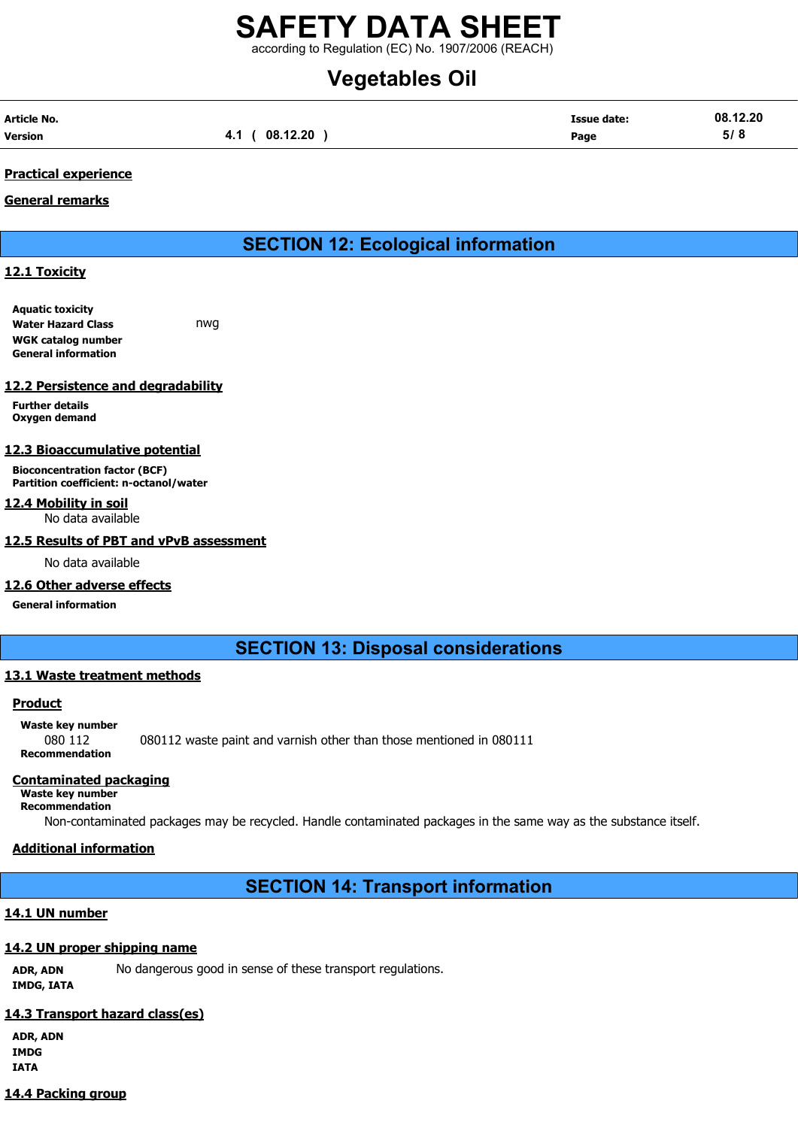according to Regulation (EC) No. 1907/2006 (REACH)

# Vegetables Oil

| Article No. |                | <b>Issue date:</b> | 08.12.20 |
|-------------|----------------|--------------------|----------|
| Version     | 4.1 ( 08.12.20 | Page               | 5/8      |

## Practical experience

## General remarks

## SECTION 12: Ecological information

## 12.1 Toxicity

Aquatic toxicity Water Hazard Class **nwg** WGK catalog number General information

## 12.2 Persistence and degradability

Further details Oxygen demand

## 12.3 Bioaccumulative potential

Bioconcentration factor (BCF) Partition coefficient: n-octanol/water

## 12.4 Mobility in soil

No data available

## 12.5 Results of PBT and vPvB assessment

No data available

## 12.6 Other adverse effects

## General information

## SECTION 13: Disposal considerations

## 13.1 Waste treatment methods

## Product

## Waste key number

080 112 080112 waste paint and varnish other than those mentioned in 080111 Recommendation

## Contaminated packaging

#### Waste key number Recommendation

Non-contaminated packages may be recycled. Handle contaminated packages in the same way as the substance itself.

## Additional information

## SECTION 14: Transport information

## 14.1 UN number

## 14.2 UN proper shipping name

ADR, ADN No dangerous good in sense of these transport regulations. IMDG, IATA

## 14.3 Transport hazard class(es)

ADR, ADN IMDG IATA

## 14.4 Packing group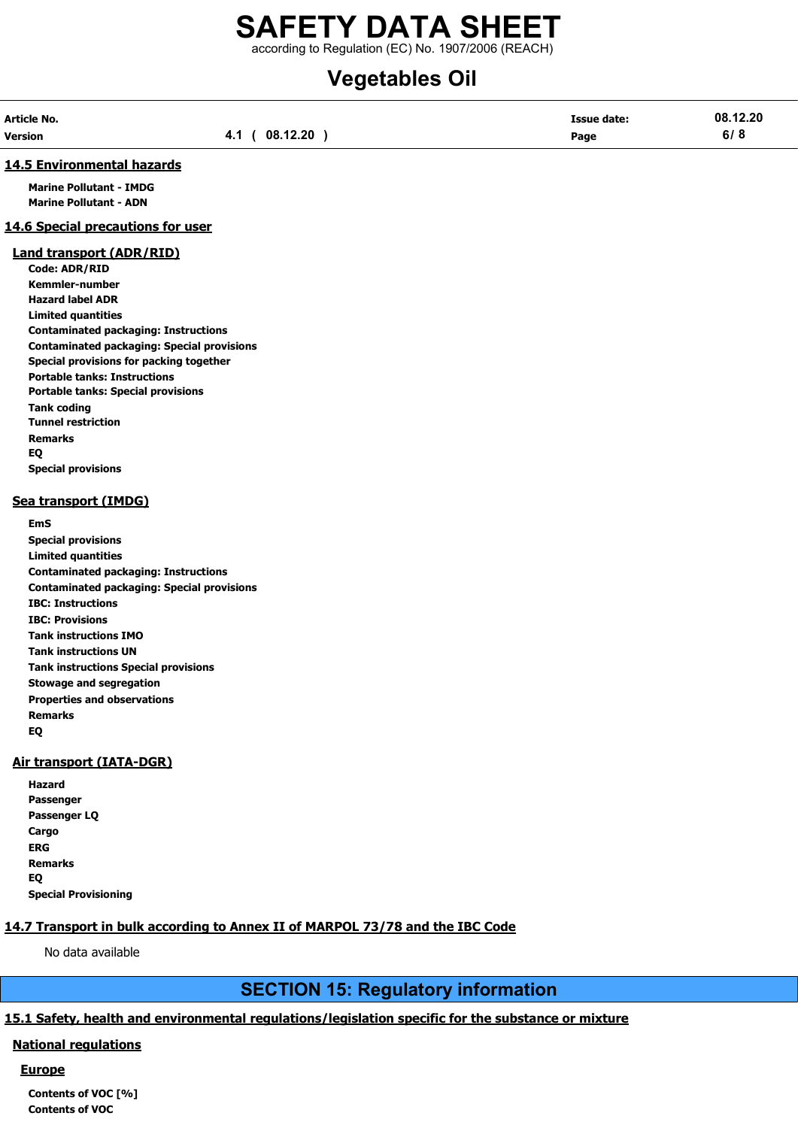according to Regulation (EC) No. 1907/2006 (REACH)

# Vegetables Oil

| Article No. |                   | <b>Issue date:</b> | 08.12.20 |
|-------------|-------------------|--------------------|----------|
| Version     | (08.12.20)<br>4.1 | Page               | 6/8      |

### 14.5 Environmental hazards

Marine Pollutant - IMDG Marine Pollutant - ADN

## 14.6 Special precautions for user

#### Land transport (ADR/RID)

Code: ADR/RID Kemmler-number Hazard label ADR Limited quantities Contaminated packaging: Instructions Contaminated packaging: Special provisions Special provisions for packing together Portable tanks: Instructions Portable tanks: Special provisions Tank coding Tunnel restriction Remarks EQ Special provisions

## Sea transport (IMDG)

EmS Special provisions Limited quantities Contaminated packaging: Instructions Contaminated packaging: Special provisions IBC: Instructions IBC: Provisions Tank instructions IMO Tank instructions UN Tank instructions Special provisions Stowage and segregation Properties and observations Remarks EQ

## Air transport (IATA-DGR)

| Hazard                      |
|-----------------------------|
| Passenger                   |
| Passenger LQ                |
| Cargo                       |
| ERG                         |
| Remarks                     |
| EQ                          |
| <b>Special Provisioning</b> |

## 14.7 Transport in bulk according to Annex II of MARPOL 73/78 and the IBC Code

No data available

## SECTION 15: Regulatory information

## 15.1 Safety, health and environmental regulations/legislation specific for the substance or mixture

## National regulations

## **Europe**

Contents of VOC [%] Contents of VOC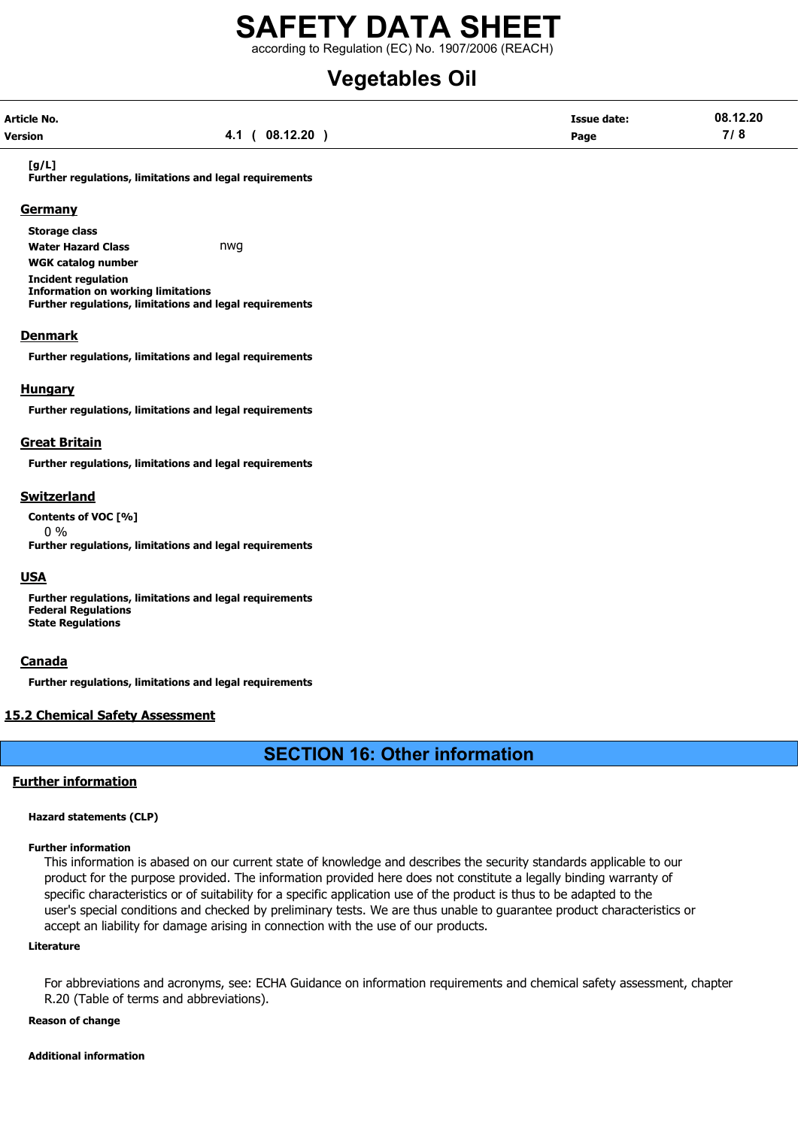according to Regulation (EC) No. 1907/2006 (REACH)

# Vegetables Oil

| Article No. |                | <b>Issue date:</b> | 08.12.20 |
|-------------|----------------|--------------------|----------|
| Version     | 4.1 ( 08.12.20 | Page               | 7/8      |

#### [g/L]

Further regulations, limitations and legal requirements

### **Germany**

Storage class Water Hazard Class **nwg** WGK catalog number Incident regulation Information on working limitations Further regulations, limitations and legal requirements

#### **Denmark**

Further regulations, limitations and legal requirements

### Hungary

Further regulations, limitations and legal requirements

#### Great Britain

Further regulations, limitations and legal requirements

### Switzerland

Contents of VOC [%] 0 %

Further regulations, limitations and legal requirements

### **USA**

Further regulations, limitations and legal requirements Federal Regulations State Regulations

#### **Canada**

Further regulations, limitations and legal requirements

## 15.2 Chemical Safety Assessment

## SECTION 16: Other information

## Further information

#### Hazard statements (CLP)

#### Further information

This information is abased on our current state of knowledge and describes the security standards applicable to our product for the purpose provided. The information provided here does not constitute a legally binding warranty of specific characteristics or of suitability for a specific application use of the product is thus to be adapted to the user's special conditions and checked by preliminary tests. We are thus unable to guarantee product characteristics or accept an liability for damage arising in connection with the use of our products.

#### Literature

For abbreviations and acronyms, see: ECHA Guidance on information requirements and chemical safety assessment, chapter R.20 (Table of terms and abbreviations).

#### Reason of change

#### Additional information